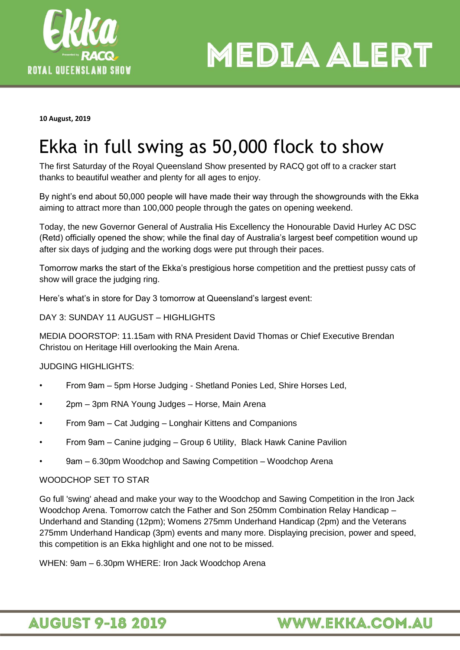

**MEDIA ALERT** 

**10 August, 2019**

## Ekka in full swing as 50,000 flock to show

The first Saturday of the Royal Queensland Show presented by RACQ got off to a cracker start thanks to beautiful weather and plenty for all ages to enjoy.

By night's end about 50,000 people will have made their way through the showgrounds with the Ekka aiming to attract more than 100,000 people through the gates on opening weekend.

Today, the new Governor General of Australia His Excellency the Honourable David Hurley AC DSC (Retd) officially opened the show; while the final day of Australia's largest beef competition wound up after six days of judging and the working dogs were put through their paces.

Tomorrow marks the start of the Ekka's prestigious horse competition and the prettiest pussy cats of show will grace the judging ring.

Here's what's in store for Day 3 tomorrow at Queensland's largest event:

DAY 3: SUNDAY 11 AUGUST – HIGHLIGHTS

MEDIA DOORSTOP: 11.15am with RNA President David Thomas or Chief Executive Brendan Christou on Heritage Hill overlooking the Main Arena.

JUDGING HIGHLIGHTS:

- From 9am 5pm Horse Judging Shetland Ponies Led, Shire Horses Led,
- 2pm 3pm RNA Young Judges Horse, Main Arena
- From 9am Cat Judging Longhair Kittens and Companions
- From 9am Canine judging Group 6 Utility, Black Hawk Canine Pavilion
- 9am 6.30pm Woodchop and Sawing Competition Woodchop Arena

#### WOODCHOP SET TO STAR

Go full 'swing' ahead and make your way to the Woodchop and Sawing Competition in the Iron Jack Woodchop Arena. Tomorrow catch the Father and Son 250mm Combination Relay Handicap – Underhand and Standing (12pm); Womens 275mm Underhand Handicap (2pm) and the Veterans 275mm Underhand Handicap (3pm) events and many more. Displaying precision, power and speed, this competition is an Ekka highlight and one not to be missed.

WHEN: 9am – 6.30pm WHERE: Iron Jack Woodchop Arena

### **AUGUST 9-18 2019**

### **WWW.EKKA.COM.AU**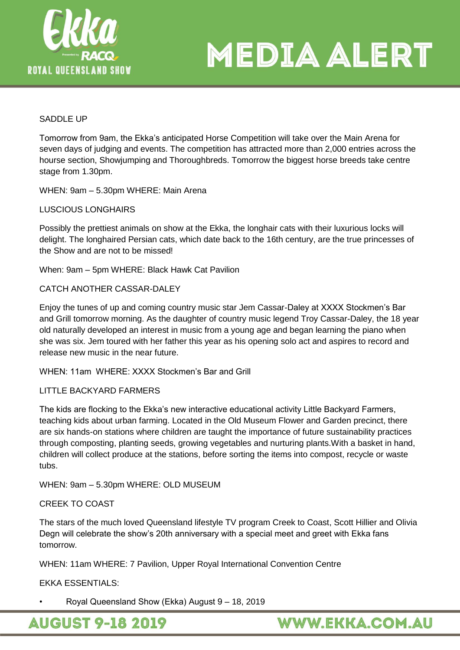

# MEDIA ALERT

#### SADDLE UP

Tomorrow from 9am, the Ekka's anticipated Horse Competition will take over the Main Arena for seven days of judging and events. The competition has attracted more than 2,000 entries across the hourse section, Showjumping and Thoroughbreds. Tomorrow the biggest horse breeds take centre stage from 1.30pm.

WHEN: 9am – 5.30pm WHERE: Main Arena

LUSCIOUS LONGHAIRS

Possibly the prettiest animals on show at the Ekka, the longhair cats with their luxurious locks will delight. The longhaired Persian cats, which date back to the 16th century, are the true princesses of the Show and are not to be missed!

When: 9am – 5pm WHERE: Black Hawk Cat Pavilion

CATCH ANOTHER CASSAR-DALEY

Enjoy the tunes of up and coming country music star Jem Cassar-Daley at XXXX Stockmen's Bar and Grill tomorrow morning. As the daughter of country music legend Troy Cassar-Daley, the 18 year old naturally developed an interest in music from a young age and began learning the piano when she was six. Jem toured with her father this year as his opening solo act and aspires to record and release new music in the near future.

WHEN: 11am WHERE: XXXX Stockmen's Bar and Grill

#### LITTLE BACKYARD FARMERS

The kids are flocking to the Ekka's new interactive educational activity Little Backyard Farmers, teaching kids about urban farming. Located in the Old Museum Flower and Garden precinct, there are six hands-on stations where children are taught the importance of future sustainability practices through composting, planting seeds, growing vegetables and nurturing plants.With a basket in hand, children will collect produce at the stations, before sorting the items into compost, recycle or waste tubs.

WHEN: 9am – 5.30pm WHERE: OLD MUSEUM

#### CREEK TO COAST

The stars of the much loved Queensland lifestyle TV program Creek to Coast, Scott Hillier and Olivia Degn will celebrate the show's 20th anniversary with a special meet and greet with Ekka fans tomorrow.

WHEN: 11am WHERE: 7 Pavilion, Upper Royal International Convention Centre

EKKA ESSENTIALS:

• Royal Queensland Show (Ekka) August 9 – 18, 2019

**AUGUST 9-18 2019** 

**WWW.EKKA.COM.AU**